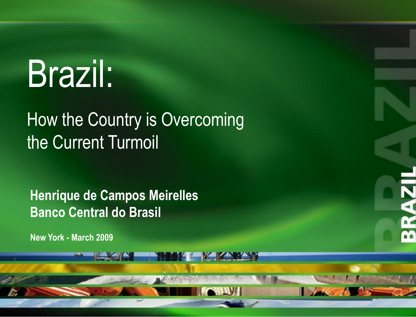# Brazil:

### How the Country is Overcoming the Current Turmoil

**1**

**Henrique de Campos Meirelles Banco Central do Brasil**

**New York - March 2009**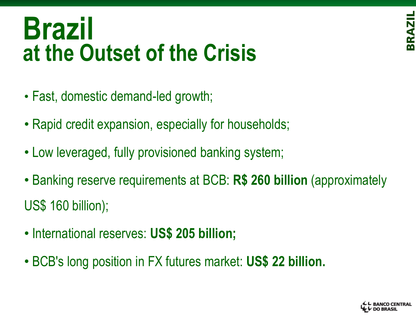## **Brazil at the Outset of the Crisis**

- Fast, domestic demand-led growth;
- Rapid credit expansion, especially for households;
- Low leveraged, fully provisioned banking system;
- Banking reserve requirements at BCB: **R\$ 260 billion** (approximately US\$ 160 billion);
- International reserves: **US\$ 205 billion;**
- BCB's long position in FX futures market: **US\$ 22 billion.**

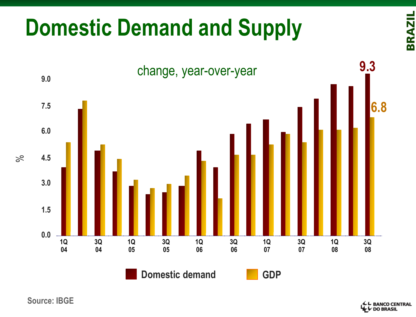## **Domestic Demand and Supply**



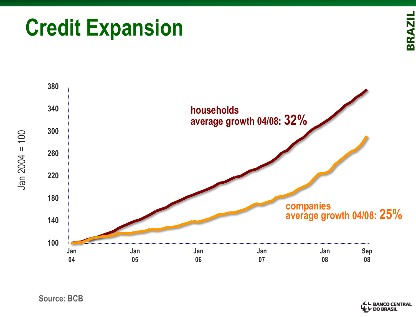#### **Source: BCB**



## **Credit Expansion**



← BANCO CENTRAL<br>← DO BRASIL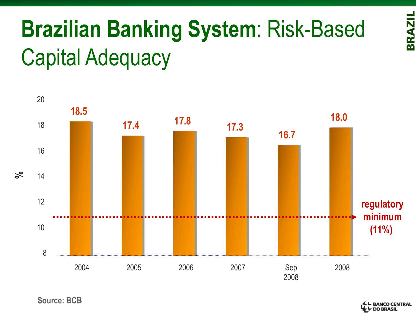## **Brazilian Banking System**: Risk-Based Capital Adequacy



**Source: BCB**

**- BANCO CENTRAL<br>• DO BRASIL**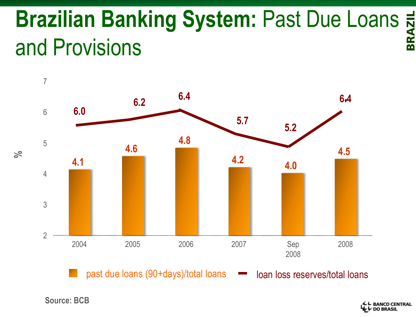## **Brazilian Banking System: Past Due Loans**  $\frac{1}{8}$ **<br>and Provisions** and Provisions



past due loans (90+days)/total loans loan loss reserves/total loans

**Source: BCB**

**%**

BANCO CENTRAL<br>DO BRASIL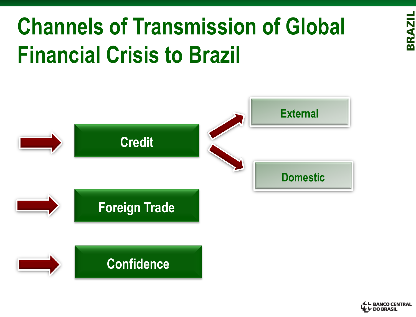## **Channels of Transmission of Global Financial Crisis to Brazil**



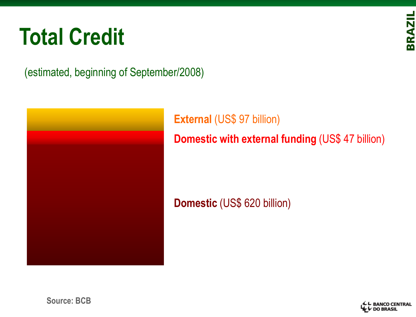## **Total Credit**

**BRAZIL** 

(estimated, beginning of September/2008)



**External (US\$ 97 billion) Domestic with external funding** (US\$ 47 billion)

**Domestic** (US\$ 620 billion)

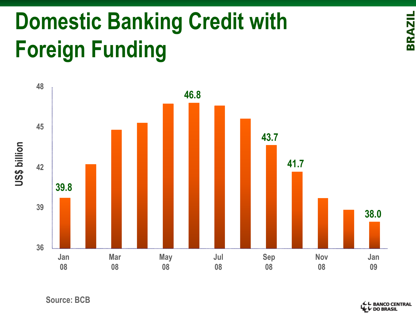## **Domestic Banking Credit with Foreign Funding**



**└ BANCO CENTRAL<br>↓ DO BRASIL**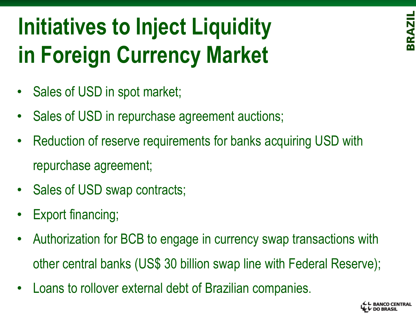## **Initiatives to Inject Liquidity in Foreign Currency Market**

- Sales of USD in spot market;
- Sales of USD in repurchase agreement auctions;
- Reduction of reserve requirements for banks acquiring USD with repurchase agreement;
- Sales of USD swap contracts;
- Export financing;
- Authorization for BCB to engage in currency swap transactions with other central banks (US\$ 30 billion swap line with Federal Reserve);
- Loans to rollover external debt of Brazilian companies.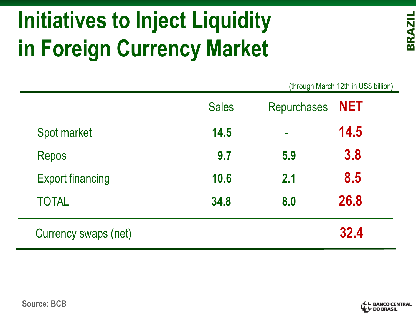## **Initiatives to Inject Liquidity in Foreign Currency Market**

(through March 12th in US\$ billion)

|                         | <b>Sales</b> | Repurchases NET |      |  |
|-------------------------|--------------|-----------------|------|--|
| Spot market             | 14.5         | $\blacksquare$  | 14.5 |  |
| <b>Repos</b>            | 9.7          | 5.9             | 3.8  |  |
| <b>Export financing</b> | 10.6         | 2.1             | 8.5  |  |
| <b>TOTAL</b>            | 34.8         | 8.0             | 26.8 |  |
| Currency swaps (net)    |              |                 | 32.4 |  |

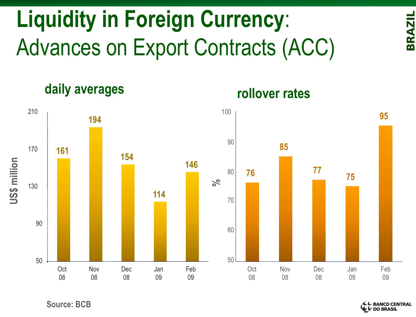

**daily averages**



**rollover rates**

**Source: BCB**

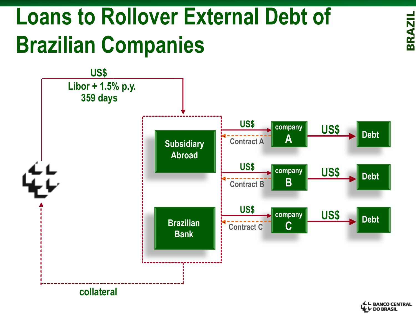## **Loans to Rollover External Debt of Brazilian Companies**



**BRAZIL** 

L BANCO CENTRAL<br>L⁄DO BRASIL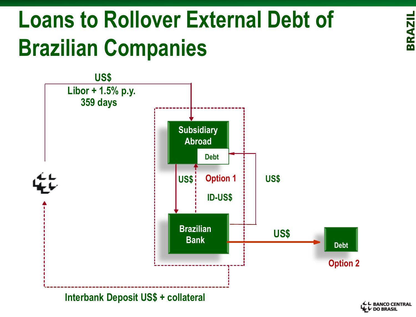## **Loans to Rollover External Debt of Brazilian Companies**



**BRAZIL** 

**BANCO CENTRAL**<br>DO BRASIL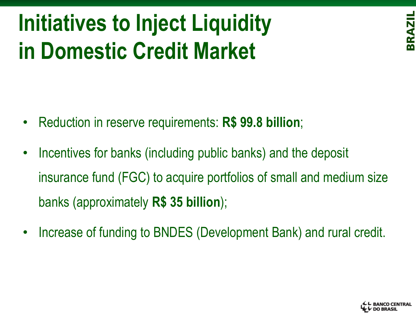## **Initiatives to Inject Liquidity in Domestic Credit Market**

- Reduction in reserve requirements: **R\$ 99.8 billion**;
- Incentives for banks (including public banks) and the deposit insurance fund (FGC) to acquire portfolios of small and medium size banks (approximately **R\$ 35 billion**);
- Increase of funding to BNDES (Development Bank) and rural credit.

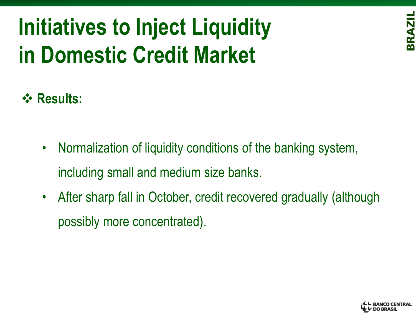## **Initiatives to Inject Liquidity in Domestic Credit Market**



### **Results:**

- Normalization of liquidity conditions of the banking system, including small and medium size banks.
- After sharp fall in October, credit recovered gradually (although possibly more concentrated).

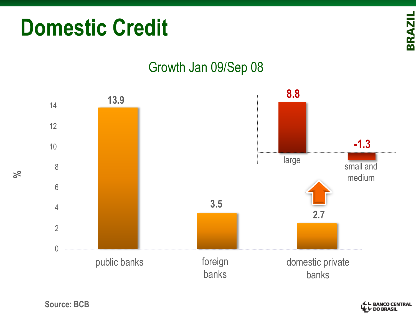

# Growth Jan 09/Sep 08

**%**

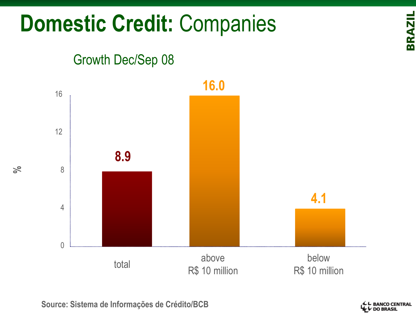## **Domestic Credit:** Companies

#### Growth Dec/Sep 08



**%**

**Source: Sistema de Informações de Crédito/BCB**

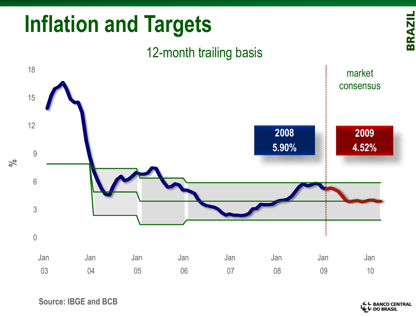#### **BRAZIL** 18 market consensus 15 12 **2008 2009 5.90% 4.52%** 9 **%**6 3 0 Jan Jan Jan Jan Jan Jan Jan Jan 03 04 05 06 07 08 09 10

## **Inflation and Targets**

12-month trailing basis

**Source: IBGE and BCB**

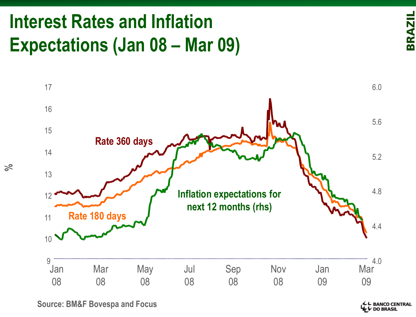## **Interest Rates and Inflation Expectations (Jan 08 – Mar 09)**



**%**

**Source: BM&F Bovespa and Focus**

BANCO CENTRAL<br>DO BRASIL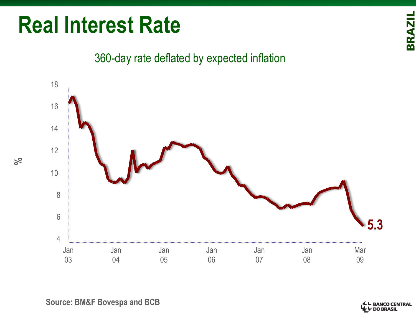## **Real Interest Rate**

**BRAZIL** 

#### 360-day rate deflated by expected inflation



**Source: BM&F Bovespa and BCB**

**BANCO CENTRAL<br>DO BRASIL**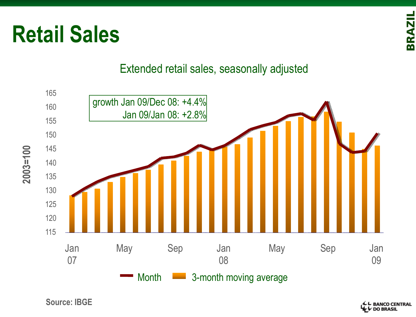



**Retail Sales**

**Source: IBGE**

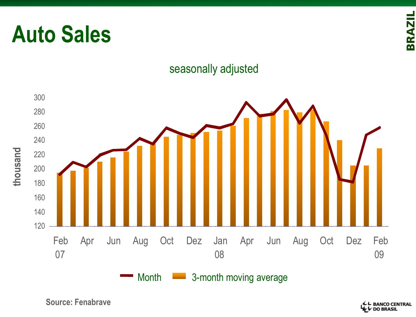

#### seasonally adjusted



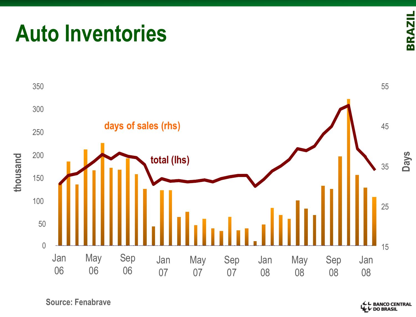## **Auto Inventories**





**Source: Fenabrave**

**4 L BANCO CENTRAL**<br>**4 L DO BRASIL**